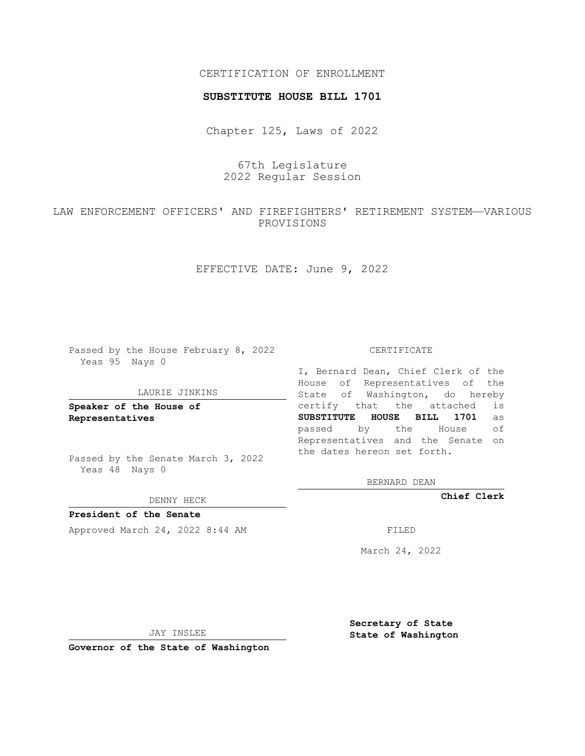## CERTIFICATION OF ENROLLMENT

### **SUBSTITUTE HOUSE BILL 1701**

Chapter 125, Laws of 2022

67th Legislature 2022 Regular Session

LAW ENFORCEMENT OFFICERS' AND FIREFIGHTERS' RETIREMENT SYSTEM—VARIOUS PROVISIONS

EFFECTIVE DATE: June 9, 2022

Passed by the House February 8, 2022 Yeas 95 Nays 0

#### LAURIE JINKINS

**Speaker of the House of Representatives**

Passed by the Senate March 3, 2022 Yeas 48 Nays 0

DENNY HECK

**President of the Senate** Approved March 24, 2022 8:44 AM

CERTIFICATE

I, Bernard Dean, Chief Clerk of the House of Representatives of the State of Washington, do hereby certify that the attached is **SUBSTITUTE HOUSE BILL 1701** as passed by the House of Representatives and the Senate on the dates hereon set forth.

BERNARD DEAN

**Chief Clerk**

March 24, 2022

JAY INSLEE

**Governor of the State of Washington**

**Secretary of State State of Washington**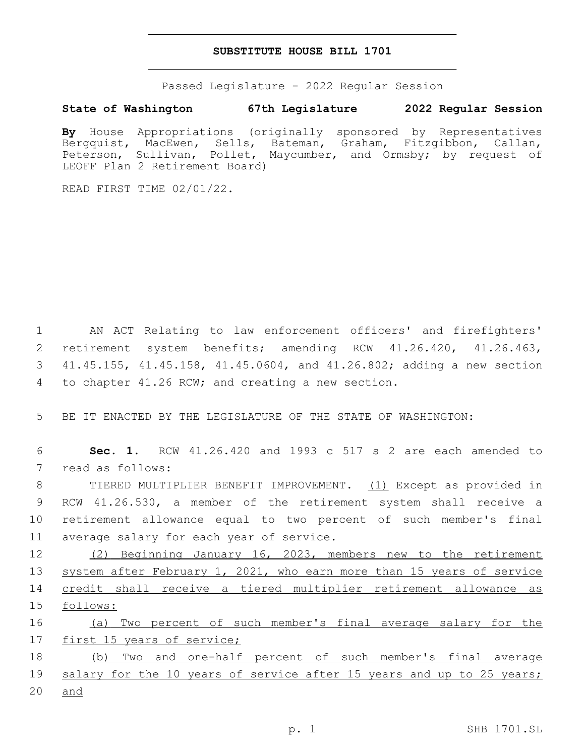## **SUBSTITUTE HOUSE BILL 1701**

Passed Legislature - 2022 Regular Session

# **State of Washington 67th Legislature 2022 Regular Session**

**By** House Appropriations (originally sponsored by Representatives Bergquist, MacEwen, Sells, Bateman, Graham, Fitzgibbon, Callan, Peterson, Sullivan, Pollet, Maycumber, and Ormsby; by request of LEOFF Plan 2 Retirement Board)

READ FIRST TIME 02/01/22.

 AN ACT Relating to law enforcement officers' and firefighters' retirement system benefits; amending RCW 41.26.420, 41.26.463, 41.45.155, 41.45.158, 41.45.0604, and 41.26.802; adding a new section 4 to chapter 41.26 RCW; and creating a new section.

5 BE IT ENACTED BY THE LEGISLATURE OF THE STATE OF WASHINGTON:

6 **Sec. 1.** RCW 41.26.420 and 1993 c 517 s 2 are each amended to 7 read as follows:

 TIERED MULTIPLIER BENEFIT IMPROVEMENT. (1) Except as provided in RCW 41.26.530, a member of the retirement system shall receive a retirement allowance equal to two percent of such member's final 11 average salary for each year of service.

 (2) Beginning January 16, 2023, members new to the retirement system after February 1, 2021, who earn more than 15 years of service credit shall receive a tiered multiplier retirement allowance as 15 follows:

16 (a) Two percent of such member's final average salary for the 17 first 15 years of service;

18 (b) Two and one-half percent of such member's final average 19 salary for the 10 years of service after 15 years and up to 25 years; 20 and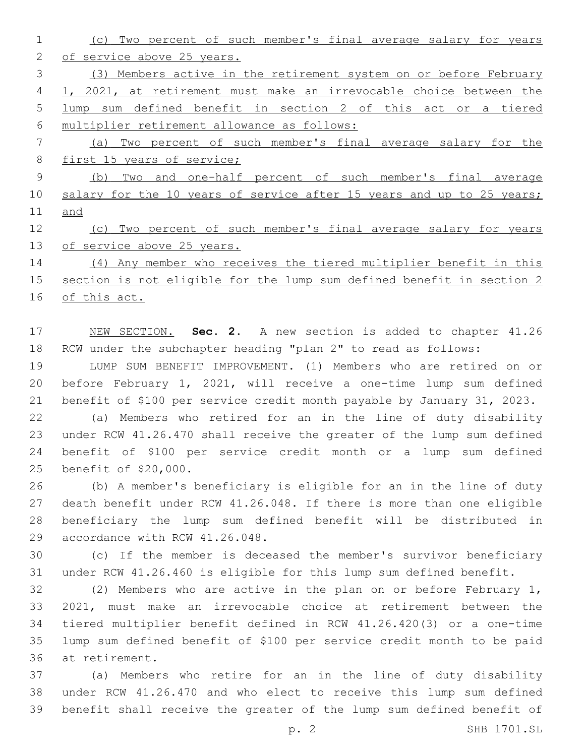(c) Two percent of such member's final average salary for years of service above 25 years. (3) Members active in the retirement system on or before February 1, 2021, at retirement must make an irrevocable choice between the lump sum defined benefit in section 2 of this act or a tiered multiplier retirement allowance as follows: (a) Two percent of such member's final average salary for the 8 first 15 years of service; (b) Two and one-half percent of such member's final average 10 salary for the 10 years of service after 15 years and up to 25 years; and (c) Two percent of such member's final average salary for years of service above 25 years. (4) Any member who receives the tiered multiplier benefit in this section is not eligible for the lump sum defined benefit in section 2

of this act.

 NEW SECTION. **Sec. 2.** A new section is added to chapter 41.26 RCW under the subchapter heading "plan 2" to read as follows:

 LUMP SUM BENEFIT IMPROVEMENT. (1) Members who are retired on or before February 1, 2021, will receive a one-time lump sum defined benefit of \$100 per service credit month payable by January 31, 2023.

 (a) Members who retired for an in the line of duty disability under RCW 41.26.470 shall receive the greater of the lump sum defined benefit of \$100 per service credit month or a lump sum defined 25 benefit of \$20,000.

 (b) A member's beneficiary is eligible for an in the line of duty death benefit under RCW 41.26.048. If there is more than one eligible beneficiary the lump sum defined benefit will be distributed in 29 accordance with RCW 41.26.048.

 (c) If the member is deceased the member's survivor beneficiary under RCW 41.26.460 is eligible for this lump sum defined benefit.

 (2) Members who are active in the plan on or before February 1, 2021, must make an irrevocable choice at retirement between the tiered multiplier benefit defined in RCW 41.26.420(3) or a one-time lump sum defined benefit of \$100 per service credit month to be paid 36 at retirement.

 (a) Members who retire for an in the line of duty disability under RCW 41.26.470 and who elect to receive this lump sum defined benefit shall receive the greater of the lump sum defined benefit of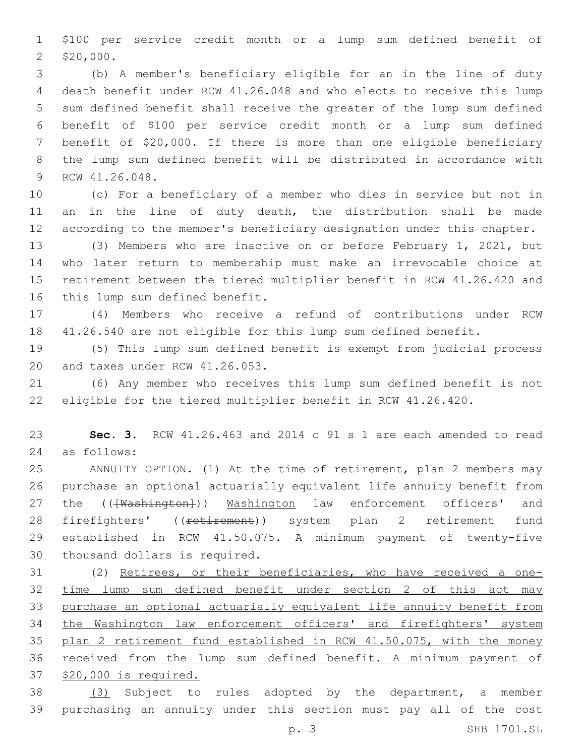\$100 per service credit month or a lump sum defined benefit of 2 \$20,000.

 (b) A member's beneficiary eligible for an in the line of duty death benefit under RCW 41.26.048 and who elects to receive this lump sum defined benefit shall receive the greater of the lump sum defined benefit of \$100 per service credit month or a lump sum defined benefit of \$20,000. If there is more than one eligible beneficiary the lump sum defined benefit will be distributed in accordance with 9 RCW 41.26.048.

 (c) For a beneficiary of a member who dies in service but not in 11 an in the line of duty death, the distribution shall be made according to the member's beneficiary designation under this chapter.

 (3) Members who are inactive on or before February 1, 2021, but who later return to membership must make an irrevocable choice at retirement between the tiered multiplier benefit in RCW 41.26.420 and 16 this lump sum defined benefit.

 (4) Members who receive a refund of contributions under RCW 41.26.540 are not eligible for this lump sum defined benefit.

 (5) This lump sum defined benefit is exempt from judicial process 20 and taxes under RCW 41.26.053.

 (6) Any member who receives this lump sum defined benefit is not eligible for the tiered multiplier benefit in RCW 41.26.420.

 **Sec. 3.** RCW 41.26.463 and 2014 c 91 s 1 are each amended to read as follows:24

 ANNUITY OPTION. (1) At the time of retirement, plan 2 members may purchase an optional actuarially equivalent life annuity benefit from 27 the (( $\overline{\text{Washington}}}$ )) Washington law enforcement officers' and 28 firefighters' ((retirement)) system plan 2 retirement fund established in RCW 41.50.075. A minimum payment of twenty-five 30 thousand dollars is required.

 (2) Retirees, or their beneficiaries, who have received a one- time lump sum defined benefit under section 2 of this act may purchase an optional actuarially equivalent life annuity benefit from the Washington law enforcement officers' and firefighters' system 35 plan 2 retirement fund established in RCW 41.50.075, with the money received from the lump sum defined benefit. A minimum payment of \$20,000 is required.

 (3) Subject to rules adopted by the department, a member purchasing an annuity under this section must pay all of the cost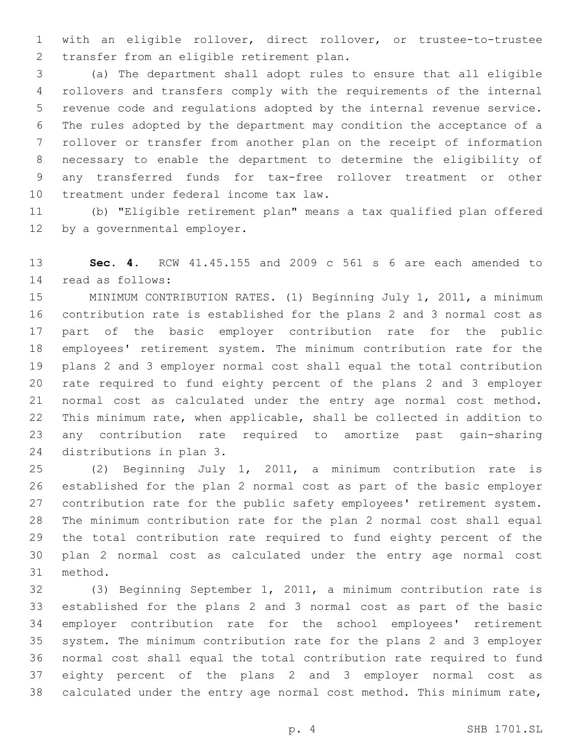with an eligible rollover, direct rollover, or trustee-to-trustee 2 transfer from an eligible retirement plan.

 (a) The department shall adopt rules to ensure that all eligible rollovers and transfers comply with the requirements of the internal revenue code and regulations adopted by the internal revenue service. The rules adopted by the department may condition the acceptance of a rollover or transfer from another plan on the receipt of information necessary to enable the department to determine the eligibility of any transferred funds for tax-free rollover treatment or other 10 treatment under federal income tax law.

 (b) "Eligible retirement plan" means a tax qualified plan offered 12 by a governmental employer.

 **Sec. 4.** RCW 41.45.155 and 2009 c 561 s 6 are each amended to read as follows:14

 MINIMUM CONTRIBUTION RATES. (1) Beginning July 1, 2011, a minimum contribution rate is established for the plans 2 and 3 normal cost as part of the basic employer contribution rate for the public employees' retirement system. The minimum contribution rate for the plans 2 and 3 employer normal cost shall equal the total contribution rate required to fund eighty percent of the plans 2 and 3 employer normal cost as calculated under the entry age normal cost method. This minimum rate, when applicable, shall be collected in addition to any contribution rate required to amortize past gain-sharing 24 distributions in plan 3.

 (2) Beginning July 1, 2011, a minimum contribution rate is established for the plan 2 normal cost as part of the basic employer contribution rate for the public safety employees' retirement system. The minimum contribution rate for the plan 2 normal cost shall equal the total contribution rate required to fund eighty percent of the plan 2 normal cost as calculated under the entry age normal cost 31 method.

 (3) Beginning September 1, 2011, a minimum contribution rate is established for the plans 2 and 3 normal cost as part of the basic employer contribution rate for the school employees' retirement system. The minimum contribution rate for the plans 2 and 3 employer normal cost shall equal the total contribution rate required to fund eighty percent of the plans 2 and 3 employer normal cost as calculated under the entry age normal cost method. This minimum rate,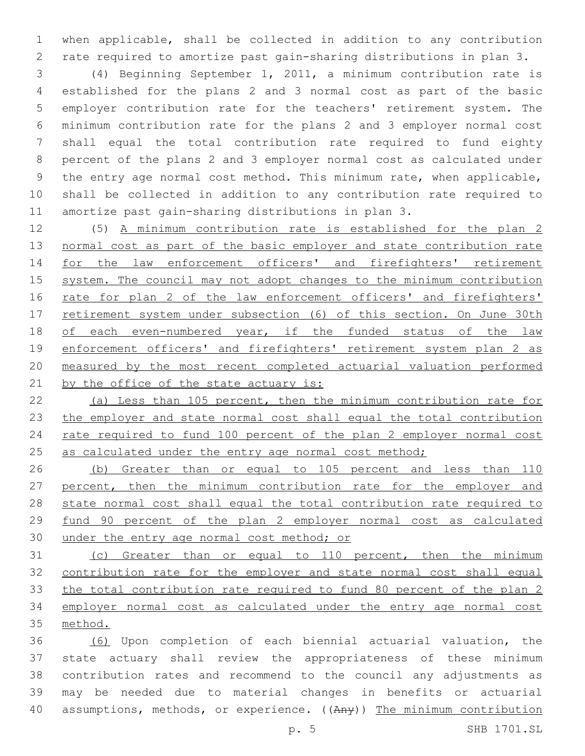when applicable, shall be collected in addition to any contribution rate required to amortize past gain-sharing distributions in plan 3.

 (4) Beginning September 1, 2011, a minimum contribution rate is established for the plans 2 and 3 normal cost as part of the basic employer contribution rate for the teachers' retirement system. The minimum contribution rate for the plans 2 and 3 employer normal cost shall equal the total contribution rate required to fund eighty percent of the plans 2 and 3 employer normal cost as calculated under the entry age normal cost method. This minimum rate, when applicable, shall be collected in addition to any contribution rate required to amortize past gain-sharing distributions in plan 3.

 (5) A minimum contribution rate is established for the plan 2 normal cost as part of the basic employer and state contribution rate for the law enforcement officers' and firefighters' retirement system. The council may not adopt changes to the minimum contribution 16 rate for plan 2 of the law enforcement officers' and firefighters' 17 retirement system under subsection (6) of this section. On June 30th of each even-numbered year, if the funded status of the law 19 enforcement officers' and firefighters' retirement system plan 2 as measured by the most recent completed actuarial valuation performed 21 by the office of the state actuary is:

 (a) Less than 105 percent, then the minimum contribution rate for the employer and state normal cost shall equal the total contribution rate required to fund 100 percent of the plan 2 employer normal cost 25 as calculated under the entry age normal cost method;

 (b) Greater than or equal to 105 percent and less than 110 percent, then the minimum contribution rate for the employer and state normal cost shall equal the total contribution rate required to fund 90 percent of the plan 2 employer normal cost as calculated 30 under the entry age normal cost method; or

 (c) Greater than or equal to 110 percent, then the minimum contribution rate for the employer and state normal cost shall equal the total contribution rate required to fund 80 percent of the plan 2 employer normal cost as calculated under the entry age normal cost method.

 (6) Upon completion of each biennial actuarial valuation, the state actuary shall review the appropriateness of these minimum contribution rates and recommend to the council any adjustments as may be needed due to material changes in benefits or actuarial 40 assumptions, methods, or experience. ((Any)) The minimum contribution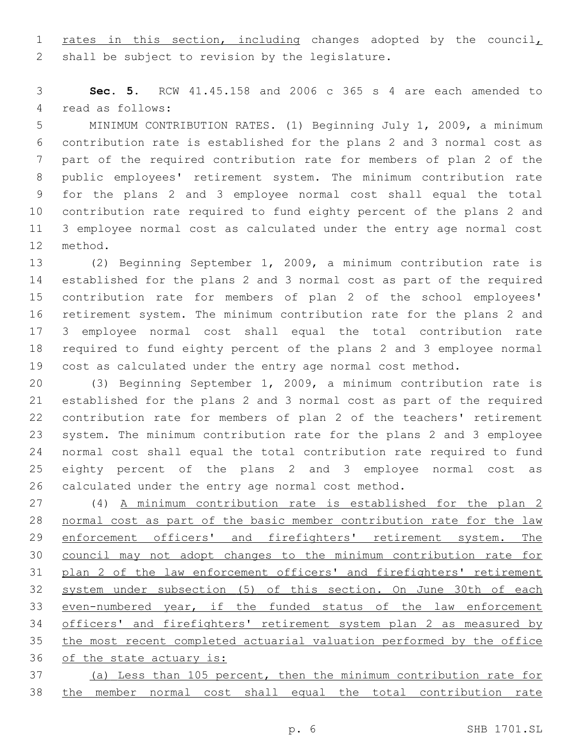1 rates in this section, including changes adopted by the council, 2 shall be subject to revision by the legislature.

 **Sec. 5.** RCW 41.45.158 and 2006 c 365 s 4 are each amended to 4 read as follows:

 MINIMUM CONTRIBUTION RATES. (1) Beginning July 1, 2009, a minimum contribution rate is established for the plans 2 and 3 normal cost as part of the required contribution rate for members of plan 2 of the public employees' retirement system. The minimum contribution rate for the plans 2 and 3 employee normal cost shall equal the total contribution rate required to fund eighty percent of the plans 2 and 3 employee normal cost as calculated under the entry age normal cost 12 method.

 (2) Beginning September 1, 2009, a minimum contribution rate is established for the plans 2 and 3 normal cost as part of the required contribution rate for members of plan 2 of the school employees' retirement system. The minimum contribution rate for the plans 2 and 3 employee normal cost shall equal the total contribution rate required to fund eighty percent of the plans 2 and 3 employee normal cost as calculated under the entry age normal cost method.

 (3) Beginning September 1, 2009, a minimum contribution rate is established for the plans 2 and 3 normal cost as part of the required contribution rate for members of plan 2 of the teachers' retirement system. The minimum contribution rate for the plans 2 and 3 employee normal cost shall equal the total contribution rate required to fund eighty percent of the plans 2 and 3 employee normal cost as calculated under the entry age normal cost method.

 (4) A minimum contribution rate is established for the plan 2 normal cost as part of the basic member contribution rate for the law 29 enforcement officers' and firefighters' retirement system. The council may not adopt changes to the minimum contribution rate for plan 2 of the law enforcement officers' and firefighters' retirement system under subsection (5) of this section. On June 30th of each even-numbered year, if the funded status of the law enforcement officers' and firefighters' retirement system plan 2 as measured by the most recent completed actuarial valuation performed by the office of the state actuary is:

 (a) Less than 105 percent, then the minimum contribution rate for the member normal cost shall equal the total contribution rate

p. 6 SHB 1701.SL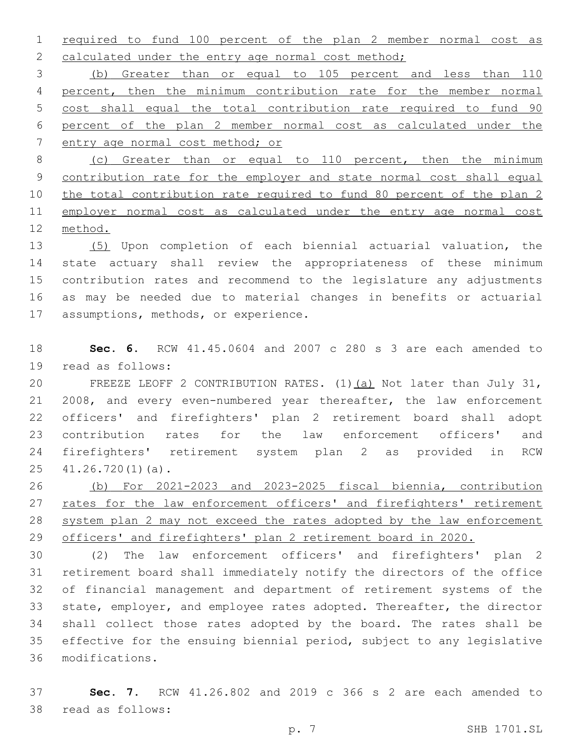required to fund 100 percent of the plan 2 member normal cost as 2 calculated under the entry age normal cost method;

 (b) Greater than or equal to 105 percent and less than 110 percent, then the minimum contribution rate for the member normal cost shall equal the total contribution rate required to fund 90 percent of the plan 2 member normal cost as calculated under the entry age normal cost method; or

 (c) Greater than or equal to 110 percent, then the minimum contribution rate for the employer and state normal cost shall equal the total contribution rate required to fund 80 percent of the plan 2 11 employer normal cost as calculated under the entry age normal cost method.

 (5) Upon completion of each biennial actuarial valuation, the state actuary shall review the appropriateness of these minimum contribution rates and recommend to the legislature any adjustments as may be needed due to material changes in benefits or actuarial 17 assumptions, methods, or experience.

 **Sec. 6.** RCW 41.45.0604 and 2007 c 280 s 3 are each amended to 19 read as follows:

 FREEZE LEOFF 2 CONTRIBUTION RATES. (1)(a) Not later than July 31, 2008, and every even-numbered year thereafter, the law enforcement officers' and firefighters' plan 2 retirement board shall adopt contribution rates for the law enforcement officers' and firefighters' retirement system plan 2 as provided in RCW  $41.26.720(1)(a)$ .

 (b) For 2021-2023 and 2023-2025 fiscal biennia, contribution 27 rates for the law enforcement officers' and firefighters' retirement system plan 2 may not exceed the rates adopted by the law enforcement officers' and firefighters' plan 2 retirement board in 2020.

 (2) The law enforcement officers' and firefighters' plan 2 retirement board shall immediately notify the directors of the office of financial management and department of retirement systems of the state, employer, and employee rates adopted. Thereafter, the director shall collect those rates adopted by the board. The rates shall be effective for the ensuing biennial period, subject to any legislative modifications.36

 **Sec. 7.** RCW 41.26.802 and 2019 c 366 s 2 are each amended to 38 read as follows: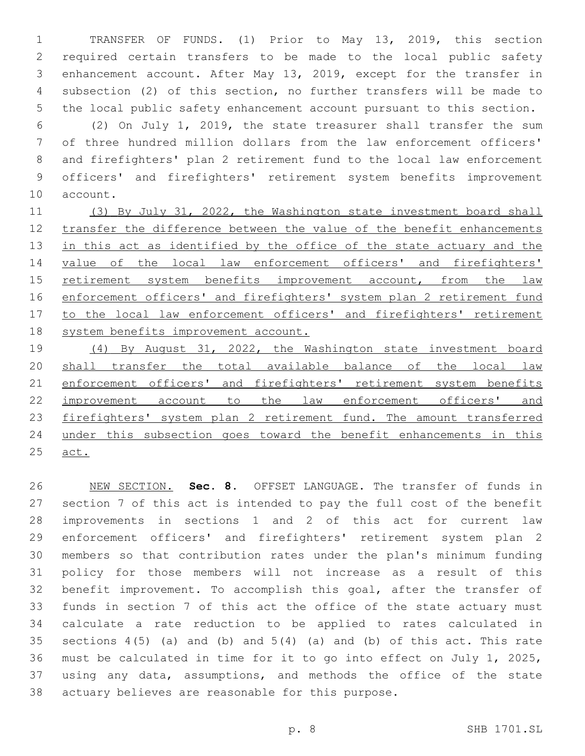TRANSFER OF FUNDS. (1) Prior to May 13, 2019, this section required certain transfers to be made to the local public safety enhancement account. After May 13, 2019, except for the transfer in subsection (2) of this section, no further transfers will be made to the local public safety enhancement account pursuant to this section.

 (2) On July 1, 2019, the state treasurer shall transfer the sum of three hundred million dollars from the law enforcement officers' and firefighters' plan 2 retirement fund to the local law enforcement officers' and firefighters' retirement system benefits improvement 10 account.

11 (3) By July 31, 2022, the Washington state investment board shall transfer the difference between the value of the benefit enhancements 13 in this act as identified by the office of the state actuary and the value of the local law enforcement officers' and firefighters' retirement system benefits improvement account, from the law 16 enforcement officers' and firefighters' system plan 2 retirement fund 17 to the local law enforcement officers' and firefighters' retirement system benefits improvement account.

 (4) By August 31, 2022, the Washington state investment board shall transfer the total available balance of the local law 21 enforcement officers' and firefighters' retirement system benefits improvement account to the law enforcement officers' and firefighters' system plan 2 retirement fund. The amount transferred under this subsection goes toward the benefit enhancements in this act.

 NEW SECTION. **Sec. 8.** OFFSET LANGUAGE. The transfer of funds in section 7 of this act is intended to pay the full cost of the benefit improvements in sections 1 and 2 of this act for current law enforcement officers' and firefighters' retirement system plan 2 members so that contribution rates under the plan's minimum funding policy for those members will not increase as a result of this benefit improvement. To accomplish this goal, after the transfer of funds in section 7 of this act the office of the state actuary must calculate a rate reduction to be applied to rates calculated in 35 sections  $4(5)$  (a) and (b) and  $5(4)$  (a) and (b) of this act. This rate must be calculated in time for it to go into effect on July 1, 2025, using any data, assumptions, and methods the office of the state actuary believes are reasonable for this purpose.